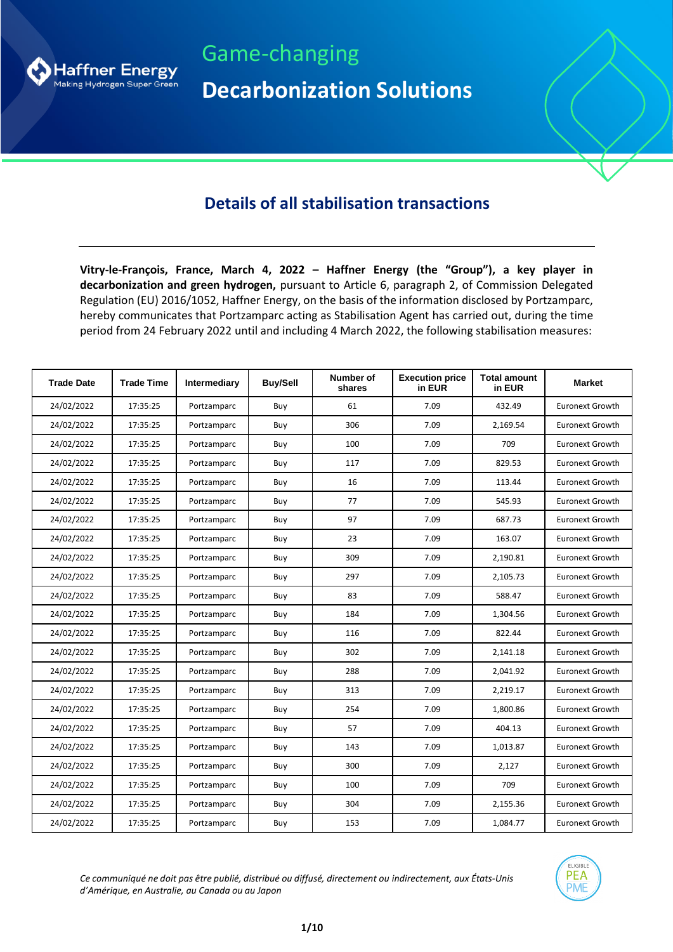

Game-changing **Decarbonization Solutions**

## **Details of all stabilisation transactions**

**Vitry-le-François, France, March 4, 2022 – Haffner Energy (the "Group"), a key player in decarbonization and green hydrogen,** pursuant to Article 6, paragraph 2, of Commission Delegated Regulation (EU) 2016/1052, Haffner Energy, on the basis of the information disclosed by Portzamparc, hereby communicates that Portzamparc acting as Stabilisation Agent has carried out, during the time period from 24 February 2022 until and including 4 March 2022, the following stabilisation measures:

| <b>Trade Date</b> | <b>Trade Time</b> | Intermediary | <b>Buy/Sell</b> | <b>Number of</b><br>shares | <b>Execution price</b><br>in EUR | <b>Total amount</b><br>in EUR | <b>Market</b>          |
|-------------------|-------------------|--------------|-----------------|----------------------------|----------------------------------|-------------------------------|------------------------|
| 24/02/2022        | 17:35:25          | Portzamparc  | Buy             | 61                         | 7.09                             | 432.49                        | <b>Euronext Growth</b> |
| 24/02/2022        | 17:35:25          | Portzamparc  | Buy             | 306                        | 7.09                             | 2,169.54                      | <b>Euronext Growth</b> |
| 24/02/2022        | 17:35:25          | Portzamparc  | Buy             | 100                        | 7.09                             | 709                           | <b>Euronext Growth</b> |
| 24/02/2022        | 17:35:25          | Portzamparc  | Buy             | 117                        | 7.09                             | 829.53                        | <b>Euronext Growth</b> |
| 24/02/2022        | 17:35:25          | Portzamparc  | Buy             | 16                         | 7.09                             | 113.44                        | <b>Euronext Growth</b> |
| 24/02/2022        | 17:35:25          | Portzamparc  | Buy             | 77                         | 7.09                             | 545.93                        | <b>Euronext Growth</b> |
| 24/02/2022        | 17:35:25          | Portzamparc  | Buy             | 97                         | 7.09                             | 687.73                        | <b>Euronext Growth</b> |
| 24/02/2022        | 17:35:25          | Portzamparc  | Buy             | 23                         | 7.09                             | 163.07                        | <b>Euronext Growth</b> |
| 24/02/2022        | 17:35:25          | Portzamparc  | Buy             | 309                        | 7.09                             | 2,190.81                      | <b>Euronext Growth</b> |
| 24/02/2022        | 17:35:25          | Portzamparc  | Buy             | 297                        | 7.09                             | 2,105.73                      | <b>Euronext Growth</b> |
| 24/02/2022        | 17:35:25          | Portzamparc  | Buy             | 83                         | 7.09                             | 588.47                        | <b>Euronext Growth</b> |
| 24/02/2022        | 17:35:25          | Portzamparc  | Buy             | 184                        | 7.09                             | 1,304.56                      | <b>Euronext Growth</b> |
| 24/02/2022        | 17:35:25          | Portzamparc  | Buy             | 116                        | 7.09                             | 822.44                        | <b>Euronext Growth</b> |
| 24/02/2022        | 17:35:25          | Portzamparc  | Buy             | 302                        | 7.09                             | 2,141.18                      | <b>Euronext Growth</b> |
| 24/02/2022        | 17:35:25          | Portzamparc  | Buy             | 288                        | 7.09                             | 2,041.92                      | <b>Euronext Growth</b> |
| 24/02/2022        | 17:35:25          | Portzamparc  | Buy             | 313                        | 7.09                             | 2,219.17                      | <b>Euronext Growth</b> |
| 24/02/2022        | 17:35:25          | Portzamparc  | Buy             | 254                        | 7.09                             | 1,800.86                      | <b>Euronext Growth</b> |
| 24/02/2022        | 17:35:25          | Portzamparc  | Buy             | 57                         | 7.09                             | 404.13                        | <b>Euronext Growth</b> |
| 24/02/2022        | 17:35:25          | Portzamparc  | Buy             | 143                        | 7.09                             | 1,013.87                      | <b>Euronext Growth</b> |
| 24/02/2022        | 17:35:25          | Portzamparc  | Buy             | 300                        | 7.09                             | 2,127                         | <b>Euronext Growth</b> |
| 24/02/2022        | 17:35:25          | Portzamparc  | Buy             | 100                        | 7.09                             | 709                           | <b>Euronext Growth</b> |
| 24/02/2022        | 17:35:25          | Portzamparc  | Buy             | 304                        | 7.09                             | 2,155.36                      | <b>Euronext Growth</b> |
| 24/02/2022        | 17:35:25          | Portzamparc  | Buy             | 153                        | 7.09                             | 1,084.77                      | <b>Euronext Growth</b> |

*Ce communiqué ne doit pas être publié, distribué ou diffusé, directement ou indirectement, aux États-Unis d'Amérique, en Australie, au Canada ou au Japon*

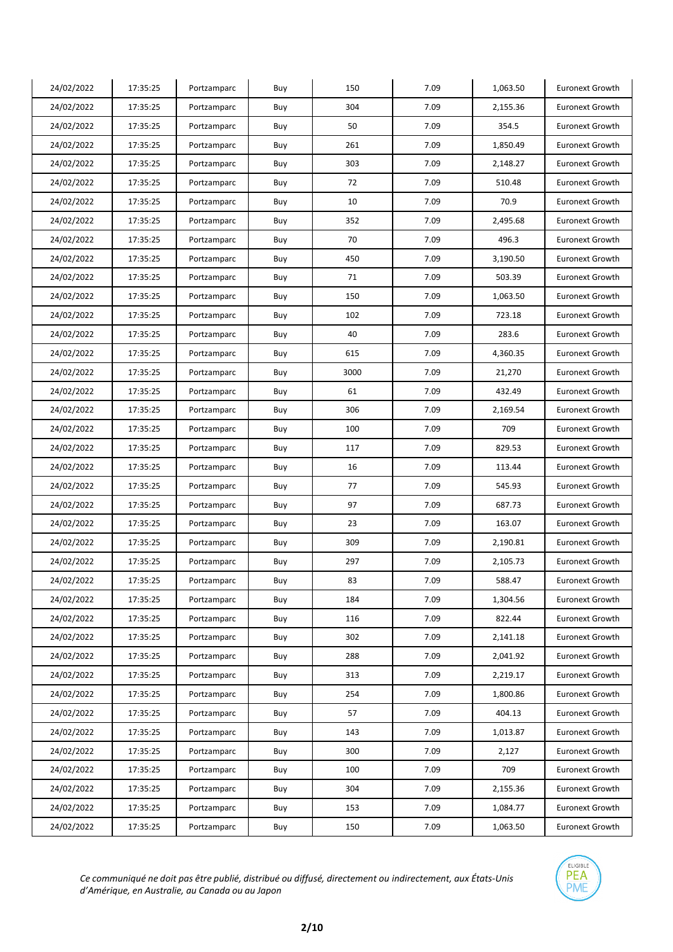| 24/02/2022 | 17:35:25 | Portzamparc | Buy | 150  | 7.09 | 1,063.50 | <b>Euronext Growth</b> |
|------------|----------|-------------|-----|------|------|----------|------------------------|
| 24/02/2022 | 17:35:25 | Portzamparc | Buy | 304  | 7.09 | 2,155.36 | <b>Euronext Growth</b> |
| 24/02/2022 | 17:35:25 | Portzamparc | Buy | 50   | 7.09 | 354.5    | <b>Euronext Growth</b> |
| 24/02/2022 | 17:35:25 | Portzamparc | Buy | 261  | 7.09 | 1,850.49 | <b>Euronext Growth</b> |
| 24/02/2022 | 17:35:25 | Portzamparc | Buy | 303  | 7.09 | 2,148.27 | <b>Euronext Growth</b> |
| 24/02/2022 | 17:35:25 | Portzamparc | Buy | 72   | 7.09 | 510.48   | <b>Euronext Growth</b> |
| 24/02/2022 | 17:35:25 | Portzamparc | Buy | 10   | 7.09 | 70.9     | <b>Euronext Growth</b> |
| 24/02/2022 | 17:35:25 | Portzamparc | Buy | 352  | 7.09 | 2,495.68 | <b>Euronext Growth</b> |
| 24/02/2022 | 17:35:25 | Portzamparc | Buy | 70   | 7.09 | 496.3    | <b>Euronext Growth</b> |
| 24/02/2022 | 17:35:25 | Portzamparc | Buy | 450  | 7.09 | 3,190.50 | <b>Euronext Growth</b> |
| 24/02/2022 | 17:35:25 | Portzamparc | Buy | 71   | 7.09 | 503.39   | <b>Euronext Growth</b> |
| 24/02/2022 | 17:35:25 | Portzamparc | Buy | 150  | 7.09 | 1,063.50 | <b>Euronext Growth</b> |
| 24/02/2022 | 17:35:25 | Portzamparc | Buy | 102  | 7.09 | 723.18   | <b>Euronext Growth</b> |
| 24/02/2022 | 17:35:25 | Portzamparc | Buy | 40   | 7.09 | 283.6    | <b>Euronext Growth</b> |
| 24/02/2022 | 17:35:25 | Portzamparc | Buy | 615  | 7.09 | 4,360.35 | <b>Euronext Growth</b> |
| 24/02/2022 | 17:35:25 | Portzamparc | Buy | 3000 | 7.09 | 21,270   | <b>Euronext Growth</b> |
| 24/02/2022 | 17:35:25 | Portzamparc | Buy | 61   | 7.09 | 432.49   | <b>Euronext Growth</b> |
| 24/02/2022 | 17:35:25 | Portzamparc | Buy | 306  | 7.09 | 2,169.54 | <b>Euronext Growth</b> |
| 24/02/2022 | 17:35:25 | Portzamparc | Buy | 100  | 7.09 | 709      | <b>Euronext Growth</b> |
| 24/02/2022 | 17:35:25 | Portzamparc | Buy | 117  | 7.09 | 829.53   | <b>Euronext Growth</b> |
| 24/02/2022 | 17:35:25 | Portzamparc | Buy | 16   | 7.09 | 113.44   | <b>Euronext Growth</b> |
| 24/02/2022 | 17:35:25 | Portzamparc | Buy | 77   | 7.09 | 545.93   | <b>Euronext Growth</b> |
| 24/02/2022 | 17:35:25 | Portzamparc | Buy | 97   | 7.09 | 687.73   | <b>Euronext Growth</b> |
| 24/02/2022 | 17:35:25 | Portzamparc | Buy | 23   | 7.09 | 163.07   | <b>Euronext Growth</b> |
| 24/02/2022 | 17:35:25 | Portzamparc | Buy | 309  | 7.09 | 2,190.81 | <b>Euronext Growth</b> |
| 24/02/2022 | 17:35:25 | Portzamparc | Buy | 297  | 7.09 | 2,105.73 | <b>Euronext Growth</b> |
| 24/02/2022 | 17:35:25 | Portzamparc | Buy | 83   | 7.09 | 588.47   | <b>Euronext Growth</b> |
| 24/02/2022 | 17:35:25 | Portzamparc | Buy | 184  | 7.09 | 1,304.56 | <b>Euronext Growth</b> |
| 24/02/2022 | 17:35:25 | Portzamparc | Buy | 116  | 7.09 | 822.44   | Euronext Growth        |
| 24/02/2022 | 17:35:25 | Portzamparc | Buy | 302  | 7.09 | 2,141.18 | Euronext Growth        |
| 24/02/2022 | 17:35:25 | Portzamparc | Buy | 288  | 7.09 | 2,041.92 | Euronext Growth        |
| 24/02/2022 | 17:35:25 | Portzamparc | Buy | 313  | 7.09 | 2,219.17 | Euronext Growth        |
| 24/02/2022 | 17:35:25 | Portzamparc | Buy | 254  | 7.09 | 1,800.86 | <b>Euronext Growth</b> |
| 24/02/2022 | 17:35:25 | Portzamparc | Buy | 57   | 7.09 | 404.13   | <b>Euronext Growth</b> |
| 24/02/2022 | 17:35:25 | Portzamparc | Buy | 143  | 7.09 | 1,013.87 | <b>Euronext Growth</b> |
| 24/02/2022 | 17:35:25 | Portzamparc | Buy | 300  | 7.09 | 2,127    | Euronext Growth        |
| 24/02/2022 | 17:35:25 | Portzamparc | Buy | 100  | 7.09 | 709      | <b>Euronext Growth</b> |
| 24/02/2022 | 17:35:25 | Portzamparc | Buy | 304  | 7.09 | 2,155.36 | Euronext Growth        |
| 24/02/2022 | 17:35:25 | Portzamparc | Buy | 153  | 7.09 | 1,084.77 | Euronext Growth        |
| 24/02/2022 | 17:35:25 | Portzamparc | Buy | 150  | 7.09 | 1,063.50 | <b>Euronext Growth</b> |

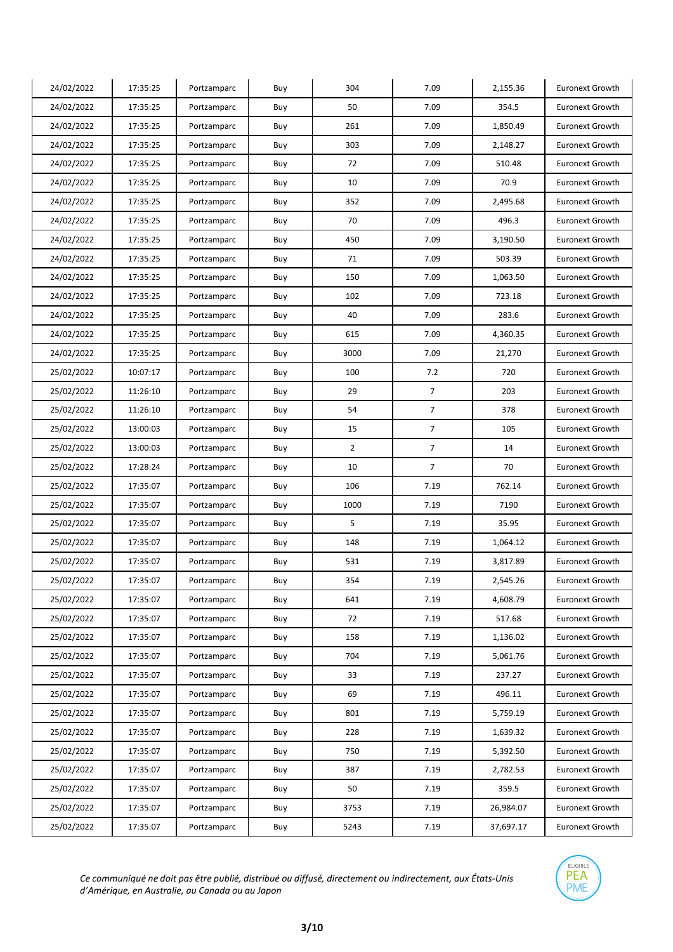| 24/02/2022 | 17:35:25 | Portzamparc | Buy | 304            | 7.09           | 2,155.36  | <b>Euronext Growth</b> |
|------------|----------|-------------|-----|----------------|----------------|-----------|------------------------|
| 24/02/2022 | 17:35:25 | Portzamparc | Buy | 50             | 7.09           | 354.5     | <b>Euronext Growth</b> |
| 24/02/2022 | 17:35:25 | Portzamparc | Buy | 261            | 7.09           | 1,850.49  | <b>Euronext Growth</b> |
| 24/02/2022 | 17:35:25 | Portzamparc | Buy | 303            | 7.09           | 2,148.27  | <b>Euronext Growth</b> |
| 24/02/2022 | 17:35:25 | Portzamparc | Buy | 72             | 7.09           | 510.48    | <b>Euronext Growth</b> |
| 24/02/2022 | 17:35:25 | Portzamparc | Buy | 10             | 7.09           | 70.9      | <b>Euronext Growth</b> |
| 24/02/2022 | 17:35:25 | Portzamparc | Buy | 352            | 7.09           | 2,495.68  | <b>Euronext Growth</b> |
| 24/02/2022 | 17:35:25 | Portzamparc | Buy | 70             | 7.09           | 496.3     | <b>Euronext Growth</b> |
| 24/02/2022 | 17:35:25 | Portzamparc | Buy | 450            | 7.09           | 3,190.50  | <b>Euronext Growth</b> |
| 24/02/2022 | 17:35:25 | Portzamparc | Buy | 71             | 7.09           | 503.39    | <b>Euronext Growth</b> |
| 24/02/2022 | 17:35:25 | Portzamparc | Buy | 150            | 7.09           | 1,063.50  | <b>Euronext Growth</b> |
| 24/02/2022 | 17:35:25 | Portzamparc | Buy | 102            | 7.09           | 723.18    | <b>Euronext Growth</b> |
| 24/02/2022 | 17:35:25 | Portzamparc | Buy | 40             | 7.09           | 283.6     | <b>Euronext Growth</b> |
| 24/02/2022 | 17:35:25 | Portzamparc | Buy | 615            | 7.09           | 4,360.35  | <b>Euronext Growth</b> |
| 24/02/2022 | 17:35:25 | Portzamparc | Buy | 3000           | 7.09           | 21,270    | <b>Euronext Growth</b> |
| 25/02/2022 | 10:07:17 | Portzamparc | Buy | 100            | 7.2            | 720       | <b>Euronext Growth</b> |
| 25/02/2022 | 11:26:10 | Portzamparc | Buy | 29             | $\overline{7}$ | 203       | <b>Euronext Growth</b> |
| 25/02/2022 | 11:26:10 | Portzamparc | Buy | 54             | $\overline{7}$ | 378       | <b>Euronext Growth</b> |
| 25/02/2022 | 13:00:03 | Portzamparc | Buy | 15             | $\overline{7}$ | 105       | <b>Euronext Growth</b> |
| 25/02/2022 | 13:00:03 | Portzamparc | Buy | $\overline{2}$ | $\overline{7}$ | 14        | <b>Euronext Growth</b> |
| 25/02/2022 | 17:28:24 | Portzamparc | Buy | 10             | 7              | 70        | <b>Euronext Growth</b> |
| 25/02/2022 | 17:35:07 | Portzamparc | Buy | 106            | 7.19           | 762.14    | <b>Euronext Growth</b> |
| 25/02/2022 | 17:35:07 | Portzamparc | Buy | 1000           | 7.19           | 7190      | <b>Euronext Growth</b> |
| 25/02/2022 | 17:35:07 | Portzamparc | Buy | 5              | 7.19           | 35.95     | <b>Euronext Growth</b> |
| 25/02/2022 | 17:35:07 | Portzamparc | Buy | 148            | 7.19           | 1,064.12  | <b>Euronext Growth</b> |
| 25/02/2022 | 17:35:07 | Portzamparc | Buy | 531            | 7.19           | 3,817.89  | <b>Euronext Growth</b> |
| 25/02/2022 | 17:35:07 | Portzamparc | Buy | 354            | 7.19           | 2,545.26  | <b>Euronext Growth</b> |
| 25/02/2022 | 17:35:07 | Portzamparc | Buy | 641            | 7.19           | 4,608.79  | <b>Euronext Growth</b> |
| 25/02/2022 | 17:35:07 | Portzamparc | Buy | 72             | 7.19           | 517.68    | Euronext Growth        |
| 25/02/2022 | 17:35:07 | Portzamparc | Buy | 158            | 7.19           | 1,136.02  | Euronext Growth        |
| 25/02/2022 | 17:35:07 | Portzamparc | Buy | 704            | 7.19           | 5,061.76  | <b>Euronext Growth</b> |
| 25/02/2022 | 17:35:07 | Portzamparc | Buy | 33             | 7.19           | 237.27    | Euronext Growth        |
| 25/02/2022 | 17:35:07 | Portzamparc | Buy | 69             | 7.19           | 496.11    | Euronext Growth        |
| 25/02/2022 | 17:35:07 | Portzamparc | Buy | 801            | 7.19           | 5,759.19  | <b>Euronext Growth</b> |
| 25/02/2022 | 17:35:07 | Portzamparc | Buy | 228            | 7.19           | 1,639.32  | <b>Euronext Growth</b> |
| 25/02/2022 | 17:35:07 | Portzamparc | Buy | 750            | 7.19           | 5,392.50  | Euronext Growth        |
| 25/02/2022 | 17:35:07 | Portzamparc | Buy | 387            | 7.19           | 2,782.53  | <b>Euronext Growth</b> |
| 25/02/2022 | 17:35:07 | Portzamparc | Buy | 50             | 7.19           | 359.5     | Euronext Growth        |
| 25/02/2022 | 17:35:07 | Portzamparc | Buy | 3753           | 7.19           | 26,984.07 | Euronext Growth        |
| 25/02/2022 | 17:35:07 | Portzamparc | Buy | 5243           | 7.19           | 37,697.17 | Euronext Growth        |

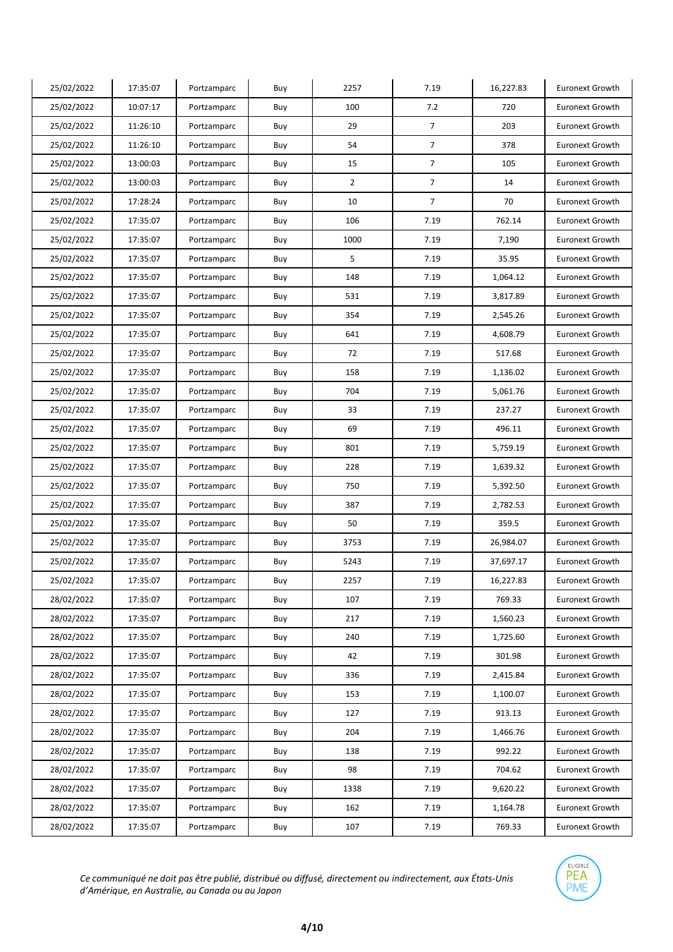| 25/02/2022 | 17:35:07 | Portzamparc | Buy | 2257           | 7.19           | 16,227.83 | <b>Euronext Growth</b> |
|------------|----------|-------------|-----|----------------|----------------|-----------|------------------------|
| 25/02/2022 | 10:07:17 | Portzamparc | Buy | 100            | 7.2            | 720       | <b>Euronext Growth</b> |
| 25/02/2022 | 11:26:10 | Portzamparc | Buy | 29             | 7              | 203       | <b>Euronext Growth</b> |
| 25/02/2022 | 11:26:10 | Portzamparc | Buy | 54             | $\overline{7}$ | 378       | <b>Euronext Growth</b> |
| 25/02/2022 | 13:00:03 | Portzamparc | Buy | 15             | $\overline{7}$ | 105       | <b>Euronext Growth</b> |
| 25/02/2022 | 13:00:03 | Portzamparc | Buy | $\overline{2}$ | $\overline{7}$ | 14        | <b>Euronext Growth</b> |
| 25/02/2022 | 17:28:24 | Portzamparc | Buy | 10             | $\overline{7}$ | 70        | <b>Euronext Growth</b> |
| 25/02/2022 | 17:35:07 | Portzamparc | Buy | 106            | 7.19           | 762.14    | <b>Euronext Growth</b> |
| 25/02/2022 | 17:35:07 | Portzamparc | Buy | 1000           | 7.19           | 7,190     | <b>Euronext Growth</b> |
| 25/02/2022 | 17:35:07 | Portzamparc | Buy | 5              | 7.19           | 35.95     | <b>Euronext Growth</b> |
| 25/02/2022 | 17:35:07 | Portzamparc | Buy | 148            | 7.19           | 1,064.12  | <b>Euronext Growth</b> |
| 25/02/2022 | 17:35:07 | Portzamparc | Buy | 531            | 7.19           | 3,817.89  | <b>Euronext Growth</b> |
| 25/02/2022 | 17:35:07 | Portzamparc | Buy | 354            | 7.19           | 2,545.26  | <b>Euronext Growth</b> |
| 25/02/2022 | 17:35:07 | Portzamparc | Buy | 641            | 7.19           | 4,608.79  | <b>Euronext Growth</b> |
| 25/02/2022 | 17:35:07 | Portzamparc | Buy | 72             | 7.19           | 517.68    | <b>Euronext Growth</b> |
| 25/02/2022 | 17:35:07 | Portzamparc | Buy | 158            | 7.19           | 1,136.02  | <b>Euronext Growth</b> |
| 25/02/2022 | 17:35:07 | Portzamparc | Buy | 704            | 7.19           | 5,061.76  | <b>Euronext Growth</b> |
| 25/02/2022 | 17:35:07 | Portzamparc | Buy | 33             | 7.19           | 237.27    | <b>Euronext Growth</b> |
| 25/02/2022 | 17:35:07 | Portzamparc | Buy | 69             | 7.19           | 496.11    | <b>Euronext Growth</b> |
| 25/02/2022 | 17:35:07 | Portzamparc | Buy | 801            | 7.19           | 5,759.19  | <b>Euronext Growth</b> |
| 25/02/2022 | 17:35:07 | Portzamparc | Buy | 228            | 7.19           | 1,639.32  | <b>Euronext Growth</b> |
| 25/02/2022 | 17:35:07 | Portzamparc | Buy | 750            | 7.19           | 5,392.50  | <b>Euronext Growth</b> |
| 25/02/2022 | 17:35:07 | Portzamparc | Buy | 387            | 7.19           | 2,782.53  | <b>Euronext Growth</b> |
| 25/02/2022 | 17:35:07 | Portzamparc | Buy | 50             | 7.19           | 359.5     | <b>Euronext Growth</b> |
| 25/02/2022 | 17:35:07 | Portzamparc | Buy | 3753           | 7.19           | 26,984.07 | <b>Euronext Growth</b> |
| 25/02/2022 | 17:35:07 | Portzamparc | Buy | 5243           | 7.19           | 37,697.17 | <b>Euronext Growth</b> |
| 25/02/2022 | 17:35:07 | Portzamparc | Buy | 2257           | 7.19           | 16,227.83 | <b>Euronext Growth</b> |
| 28/02/2022 | 17:35:07 | Portzamparc | Buy | 107            | 7.19           | 769.33    | <b>Euronext Growth</b> |
| 28/02/2022 | 17:35:07 | Portzamparc | Buy | 217            | 7.19           | 1,560.23  | Euronext Growth        |
| 28/02/2022 | 17:35:07 | Portzamparc | Buy | 240            | 7.19           | 1,725.60  | Euronext Growth        |
| 28/02/2022 | 17:35:07 | Portzamparc | Buy | 42             | 7.19           | 301.98    | Euronext Growth        |
| 28/02/2022 | 17:35:07 | Portzamparc | Buy | 336            | 7.19           | 2,415.84  | Euronext Growth        |
| 28/02/2022 | 17:35:07 | Portzamparc | Buy | 153            | 7.19           | 1,100.07  | <b>Euronext Growth</b> |
| 28/02/2022 | 17:35:07 | Portzamparc | Buy | 127            | 7.19           | 913.13    | <b>Euronext Growth</b> |
| 28/02/2022 | 17:35:07 | Portzamparc | Buy | 204            | 7.19           | 1,466.76  | <b>Euronext Growth</b> |
| 28/02/2022 | 17:35:07 | Portzamparc | Buy | 138            | 7.19           | 992.22    | Euronext Growth        |
| 28/02/2022 | 17:35:07 | Portzamparc | Buy | 98             | 7.19           | 704.62    | <b>Euronext Growth</b> |
| 28/02/2022 | 17:35:07 | Portzamparc | Buy | 1338           | 7.19           | 9,620.22  | Euronext Growth        |
| 28/02/2022 | 17:35:07 | Portzamparc | Buy | 162            | 7.19           | 1,164.78  | Euronext Growth        |
| 28/02/2022 | 17:35:07 | Portzamparc | Buy | 107            | 7.19           | 769.33    | <b>Euronext Growth</b> |

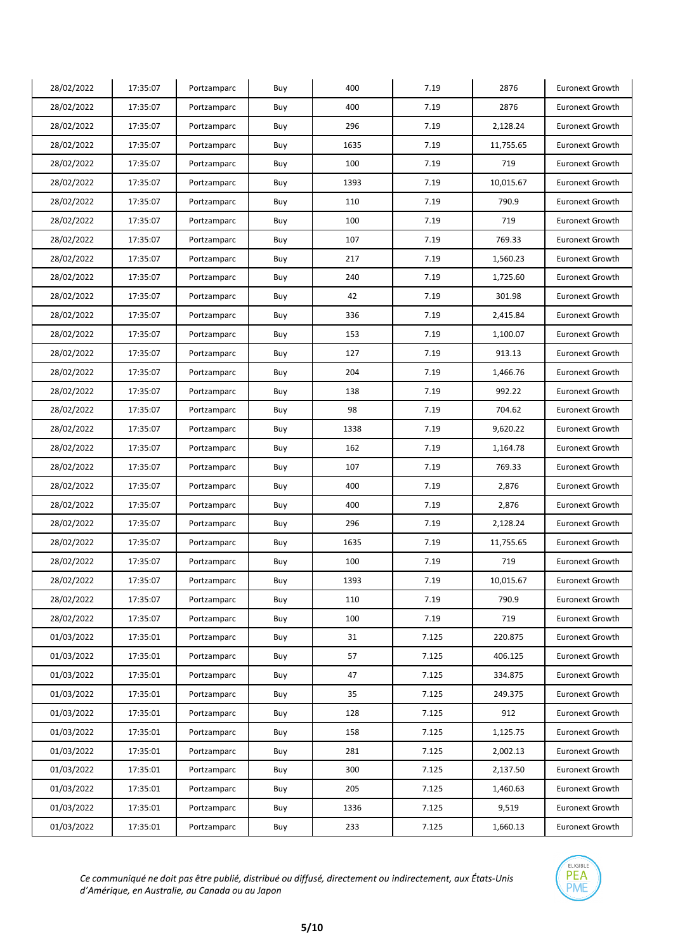| 28/02/2022 | 17:35:07 | Portzamparc | Buy | 400  | 7.19  | 2876      | <b>Euronext Growth</b> |
|------------|----------|-------------|-----|------|-------|-----------|------------------------|
| 28/02/2022 | 17:35:07 | Portzamparc | Buy | 400  | 7.19  | 2876      | <b>Euronext Growth</b> |
| 28/02/2022 | 17:35:07 | Portzamparc | Buy | 296  | 7.19  | 2,128.24  | <b>Euronext Growth</b> |
| 28/02/2022 | 17:35:07 | Portzamparc | Buy | 1635 | 7.19  | 11,755.65 | Euronext Growth        |
| 28/02/2022 | 17:35:07 | Portzamparc | Buy | 100  | 7.19  | 719       | <b>Euronext Growth</b> |
| 28/02/2022 | 17:35:07 | Portzamparc | Buy | 1393 | 7.19  | 10,015.67 | <b>Euronext Growth</b> |
| 28/02/2022 | 17:35:07 | Portzamparc | Buy | 110  | 7.19  | 790.9     | <b>Euronext Growth</b> |
| 28/02/2022 | 17:35:07 | Portzamparc | Buy | 100  | 7.19  | 719       | <b>Euronext Growth</b> |
| 28/02/2022 | 17:35:07 | Portzamparc | Buy | 107  | 7.19  | 769.33    | <b>Euronext Growth</b> |
| 28/02/2022 | 17:35:07 | Portzamparc | Buy | 217  | 7.19  | 1,560.23  | <b>Euronext Growth</b> |
| 28/02/2022 | 17:35:07 | Portzamparc | Buy | 240  | 7.19  | 1,725.60  | <b>Euronext Growth</b> |
| 28/02/2022 | 17:35:07 | Portzamparc | Buy | 42   | 7.19  | 301.98    | <b>Euronext Growth</b> |
| 28/02/2022 | 17:35:07 | Portzamparc | Buy | 336  | 7.19  | 2,415.84  | <b>Euronext Growth</b> |
| 28/02/2022 | 17:35:07 | Portzamparc | Buy | 153  | 7.19  | 1,100.07  | <b>Euronext Growth</b> |
| 28/02/2022 | 17:35:07 | Portzamparc | Buy | 127  | 7.19  | 913.13    | <b>Euronext Growth</b> |
| 28/02/2022 | 17:35:07 | Portzamparc | Buy | 204  | 7.19  | 1,466.76  | <b>Euronext Growth</b> |
| 28/02/2022 | 17:35:07 | Portzamparc | Buy | 138  | 7.19  | 992.22    | <b>Euronext Growth</b> |
| 28/02/2022 | 17:35:07 | Portzamparc | Buy | 98   | 7.19  | 704.62    | <b>Euronext Growth</b> |
| 28/02/2022 | 17:35:07 | Portzamparc | Buy | 1338 | 7.19  | 9,620.22  | <b>Euronext Growth</b> |
| 28/02/2022 | 17:35:07 | Portzamparc | Buy | 162  | 7.19  | 1,164.78  | <b>Euronext Growth</b> |
| 28/02/2022 | 17:35:07 | Portzamparc | Buy | 107  | 7.19  | 769.33    | <b>Euronext Growth</b> |
| 28/02/2022 | 17:35:07 | Portzamparc | Buy | 400  | 7.19  | 2,876     | <b>Euronext Growth</b> |
| 28/02/2022 | 17:35:07 | Portzamparc | Buy | 400  | 7.19  | 2,876     | <b>Euronext Growth</b> |
| 28/02/2022 | 17:35:07 | Portzamparc | Buy | 296  | 7.19  | 2,128.24  | <b>Euronext Growth</b> |
| 28/02/2022 | 17:35:07 | Portzamparc | Buy | 1635 | 7.19  | 11,755.65 | <b>Euronext Growth</b> |
| 28/02/2022 | 17:35:07 | Portzamparc | Buy | 100  | 7.19  | 719       | <b>Euronext Growth</b> |
| 28/02/2022 | 17:35:07 | Portzamparc | Buy | 1393 | 7.19  | 10,015.67 | <b>Euronext Growth</b> |
| 28/02/2022 | 17:35:07 | Portzamparc | Buy | 110  | 7.19  | 790.9     | <b>Euronext Growth</b> |
| 28/02/2022 | 17:35:07 | Portzamparc | Buy | 100  | 7.19  | 719       | <b>Euronext Growth</b> |
| 01/03/2022 | 17:35:01 | Portzamparc | Buy | 31   | 7.125 | 220.875   | <b>Euronext Growth</b> |
| 01/03/2022 | 17:35:01 | Portzamparc | Buy | 57   | 7.125 | 406.125   | Euronext Growth        |
| 01/03/2022 | 17:35:01 | Portzamparc | Buy | 47   | 7.125 | 334.875   | Euronext Growth        |
| 01/03/2022 | 17:35:01 | Portzamparc | Buy | 35   | 7.125 | 249.375   | <b>Euronext Growth</b> |
| 01/03/2022 | 17:35:01 | Portzamparc | Buy | 128  | 7.125 | 912       | <b>Euronext Growth</b> |
| 01/03/2022 | 17:35:01 | Portzamparc | Buy | 158  | 7.125 | 1,125.75  | <b>Euronext Growth</b> |
| 01/03/2022 | 17:35:01 | Portzamparc | Buy | 281  | 7.125 | 2,002.13  | Euronext Growth        |
| 01/03/2022 | 17:35:01 | Portzamparc | Buy | 300  | 7.125 | 2,137.50  | <b>Euronext Growth</b> |
| 01/03/2022 | 17:35:01 | Portzamparc | Buy | 205  | 7.125 | 1,460.63  | Euronext Growth        |
| 01/03/2022 | 17:35:01 | Portzamparc | Buy | 1336 | 7.125 | 9,519     | Euronext Growth        |
| 01/03/2022 | 17:35:01 | Portzamparc | Buy | 233  | 7.125 | 1,660.13  | <b>Euronext Growth</b> |

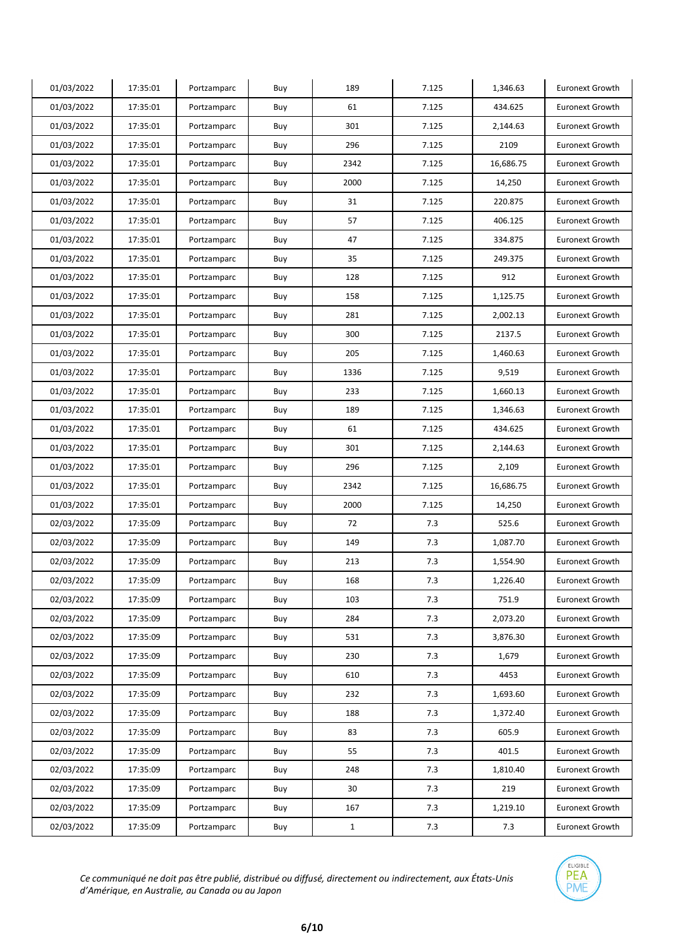| 01/03/2022 | 17:35:01 | Portzamparc | Buy | 189          | 7.125 | 1,346.63  | <b>Euronext Growth</b> |
|------------|----------|-------------|-----|--------------|-------|-----------|------------------------|
| 01/03/2022 | 17:35:01 | Portzamparc | Buy | 61           | 7.125 | 434.625   | <b>Euronext Growth</b> |
| 01/03/2022 | 17:35:01 | Portzamparc | Buy | 301          | 7.125 | 2,144.63  | <b>Euronext Growth</b> |
| 01/03/2022 | 17:35:01 | Portzamparc | Buy | 296          | 7.125 | 2109      | <b>Euronext Growth</b> |
| 01/03/2022 | 17:35:01 | Portzamparc | Buy | 2342         | 7.125 | 16,686.75 | <b>Euronext Growth</b> |
| 01/03/2022 | 17:35:01 | Portzamparc | Buy | 2000         | 7.125 | 14,250    | <b>Euronext Growth</b> |
| 01/03/2022 | 17:35:01 | Portzamparc | Buy | 31           | 7.125 | 220.875   | <b>Euronext Growth</b> |
| 01/03/2022 | 17:35:01 | Portzamparc | Buy | 57           | 7.125 | 406.125   | <b>Euronext Growth</b> |
| 01/03/2022 | 17:35:01 | Portzamparc | Buy | 47           | 7.125 | 334.875   | <b>Euronext Growth</b> |
| 01/03/2022 | 17:35:01 | Portzamparc | Buy | 35           | 7.125 | 249.375   | <b>Euronext Growth</b> |
| 01/03/2022 | 17:35:01 | Portzamparc | Buy | 128          | 7.125 | 912       | <b>Euronext Growth</b> |
| 01/03/2022 | 17:35:01 | Portzamparc | Buy | 158          | 7.125 | 1,125.75  | <b>Euronext Growth</b> |
| 01/03/2022 | 17:35:01 | Portzamparc | Buy | 281          | 7.125 | 2,002.13  | <b>Euronext Growth</b> |
| 01/03/2022 | 17:35:01 | Portzamparc | Buy | 300          | 7.125 | 2137.5    | <b>Euronext Growth</b> |
| 01/03/2022 | 17:35:01 | Portzamparc | Buy | 205          | 7.125 | 1,460.63  | <b>Euronext Growth</b> |
| 01/03/2022 | 17:35:01 | Portzamparc | Buy | 1336         | 7.125 | 9,519     | <b>Euronext Growth</b> |
| 01/03/2022 | 17:35:01 | Portzamparc | Buy | 233          | 7.125 | 1,660.13  | <b>Euronext Growth</b> |
| 01/03/2022 | 17:35:01 | Portzamparc | Buy | 189          | 7.125 | 1,346.63  | <b>Euronext Growth</b> |
| 01/03/2022 | 17:35:01 | Portzamparc | Buy | 61           | 7.125 | 434.625   | <b>Euronext Growth</b> |
| 01/03/2022 | 17:35:01 | Portzamparc | Buy | 301          | 7.125 | 2,144.63  | <b>Euronext Growth</b> |
| 01/03/2022 | 17:35:01 | Portzamparc | Buy | 296          | 7.125 | 2,109     | <b>Euronext Growth</b> |
| 01/03/2022 | 17:35:01 | Portzamparc | Buy | 2342         | 7.125 | 16,686.75 | <b>Euronext Growth</b> |
| 01/03/2022 | 17:35:01 | Portzamparc | Buy | 2000         | 7.125 | 14,250    | <b>Euronext Growth</b> |
| 02/03/2022 | 17:35:09 | Portzamparc | Buy | 72           | 7.3   | 525.6     | <b>Euronext Growth</b> |
| 02/03/2022 | 17:35:09 | Portzamparc | Buy | 149          | 7.3   | 1,087.70  | Euronext Growth        |
| 02/03/2022 | 17:35:09 | Portzamparc | Buy | 213          | 7.3   | 1,554.90  | <b>Euronext Growth</b> |
| 02/03/2022 | 17:35:09 | Portzamparc | Buy | 168          | 7.3   | 1,226.40  | <b>Euronext Growth</b> |
| 02/03/2022 | 17:35:09 | Portzamparc | Buy | 103          | 7.3   | 751.9     | <b>Euronext Growth</b> |
| 02/03/2022 | 17:35:09 | Portzamparc | Buy | 284          | 7.3   | 2,073.20  | Euronext Growth        |
| 02/03/2022 | 17:35:09 | Portzamparc | Buy | 531          | 7.3   | 3,876.30  | Euronext Growth        |
| 02/03/2022 | 17:35:09 | Portzamparc | Buy | 230          | 7.3   | 1,679     | Euronext Growth        |
| 02/03/2022 | 17:35:09 | Portzamparc | Buy | 610          | 7.3   | 4453      | Euronext Growth        |
| 02/03/2022 | 17:35:09 | Portzamparc | Buy | 232          | 7.3   | 1,693.60  | Euronext Growth        |
| 02/03/2022 | 17:35:09 | Portzamparc | Buy | 188          | 7.3   | 1,372.40  | Euronext Growth        |
| 02/03/2022 | 17:35:09 | Portzamparc | Buy | 83           | 7.3   | 605.9     | <b>Euronext Growth</b> |
| 02/03/2022 | 17:35:09 | Portzamparc | Buy | 55           | 7.3   | 401.5     | Euronext Growth        |
| 02/03/2022 | 17:35:09 | Portzamparc | Buy | 248          | 7.3   | 1,810.40  | <b>Euronext Growth</b> |
| 02/03/2022 | 17:35:09 | Portzamparc | Buy | 30           | 7.3   | 219       | Euronext Growth        |
| 02/03/2022 | 17:35:09 | Portzamparc | Buy | 167          | 7.3   | 1,219.10  | Euronext Growth        |
| 02/03/2022 | 17:35:09 | Portzamparc | Buy | $\mathbf{1}$ | 7.3   | 7.3       | <b>Euronext Growth</b> |

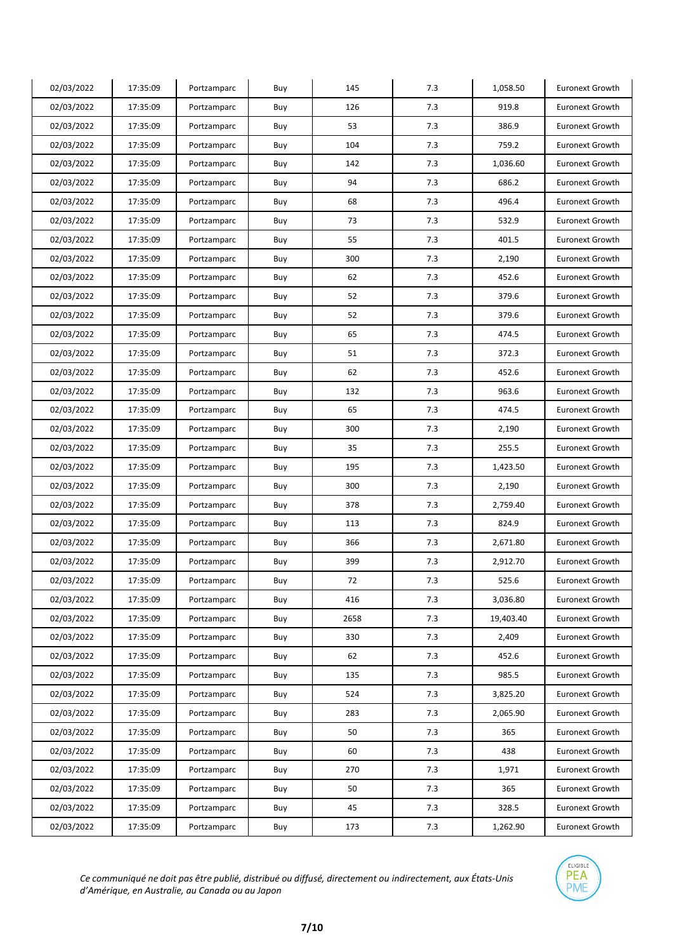| 02/03/2022 | 17:35:09 | Portzamparc | Buy | 145  | 7.3 | 1,058.50  | <b>Euronext Growth</b> |
|------------|----------|-------------|-----|------|-----|-----------|------------------------|
| 02/03/2022 | 17:35:09 | Portzamparc | Buy | 126  | 7.3 | 919.8     | <b>Euronext Growth</b> |
| 02/03/2022 | 17:35:09 | Portzamparc | Buy | 53   | 7.3 | 386.9     | <b>Euronext Growth</b> |
| 02/03/2022 | 17:35:09 | Portzamparc | Buy | 104  | 7.3 | 759.2     | <b>Euronext Growth</b> |
| 02/03/2022 | 17:35:09 | Portzamparc | Buy | 142  | 7.3 | 1,036.60  | <b>Euronext Growth</b> |
| 02/03/2022 | 17:35:09 | Portzamparc | Buy | 94   | 7.3 | 686.2     | <b>Euronext Growth</b> |
| 02/03/2022 | 17:35:09 | Portzamparc | Buy | 68   | 7.3 | 496.4     | <b>Euronext Growth</b> |
| 02/03/2022 | 17:35:09 | Portzamparc | Buy | 73   | 7.3 | 532.9     | <b>Euronext Growth</b> |
| 02/03/2022 | 17:35:09 | Portzamparc | Buy | 55   | 7.3 | 401.5     | <b>Euronext Growth</b> |
| 02/03/2022 | 17:35:09 | Portzamparc | Buy | 300  | 7.3 | 2,190     | Euronext Growth        |
| 02/03/2022 | 17:35:09 | Portzamparc | Buy | 62   | 7.3 | 452.6     | <b>Euronext Growth</b> |
| 02/03/2022 | 17:35:09 | Portzamparc | Buy | 52   | 7.3 | 379.6     | <b>Euronext Growth</b> |
| 02/03/2022 | 17:35:09 | Portzamparc | Buy | 52   | 7.3 | 379.6     | <b>Euronext Growth</b> |
| 02/03/2022 | 17:35:09 | Portzamparc | Buy | 65   | 7.3 | 474.5     | <b>Euronext Growth</b> |
| 02/03/2022 | 17:35:09 | Portzamparc | Buy | 51   | 7.3 | 372.3     | <b>Euronext Growth</b> |
| 02/03/2022 | 17:35:09 | Portzamparc | Buy | 62   | 7.3 | 452.6     | <b>Euronext Growth</b> |
| 02/03/2022 | 17:35:09 | Portzamparc | Buy | 132  | 7.3 | 963.6     | Euronext Growth        |
| 02/03/2022 | 17:35:09 | Portzamparc | Buy | 65   | 7.3 | 474.5     | <b>Euronext Growth</b> |
| 02/03/2022 | 17:35:09 | Portzamparc | Buy | 300  | 7.3 | 2,190     | <b>Euronext Growth</b> |
| 02/03/2022 | 17:35:09 | Portzamparc | Buy | 35   | 7.3 | 255.5     | <b>Euronext Growth</b> |
| 02/03/2022 | 17:35:09 | Portzamparc | Buy | 195  | 7.3 | 1,423.50  | <b>Euronext Growth</b> |
| 02/03/2022 | 17:35:09 | Portzamparc | Buy | 300  | 7.3 | 2,190     | Euronext Growth        |
| 02/03/2022 | 17:35:09 | Portzamparc | Buy | 378  | 7.3 | 2,759.40  | <b>Euronext Growth</b> |
| 02/03/2022 | 17:35:09 | Portzamparc | Buy | 113  | 7.3 | 824.9     | <b>Euronext Growth</b> |
| 02/03/2022 | 17:35:09 | Portzamparc | Buy | 366  | 7.3 | 2,671.80  | <b>Euronext Growth</b> |
| 02/03/2022 | 17:35:09 | Portzamparc | Buy | 399  | 7.3 | 2,912.70  | <b>Euronext Growth</b> |
| 02/03/2022 | 17:35:09 | Portzamparc | Buy | 72   | 7.3 | 525.6     | <b>Euronext Growth</b> |
| 02/03/2022 | 17:35:09 | Portzamparc | Buy | 416  | 7.3 | 3,036.80  | Euronext Growth        |
| 02/03/2022 | 17:35:09 | Portzamparc | Buy | 2658 | 7.3 | 19,403.40 | Euronext Growth        |
| 02/03/2022 | 17:35:09 | Portzamparc | Buy | 330  | 7.3 | 2,409     | Euronext Growth        |
| 02/03/2022 | 17:35:09 | Portzamparc | Buy | 62   | 7.3 | 452.6     | Euronext Growth        |
| 02/03/2022 | 17:35:09 | Portzamparc | Buy | 135  | 7.3 | 985.5     | Euronext Growth        |
| 02/03/2022 | 17:35:09 | Portzamparc | Buy | 524  | 7.3 | 3,825.20  | Euronext Growth        |
| 02/03/2022 | 17:35:09 | Portzamparc | Buy | 283  | 7.3 | 2,065.90  | Euronext Growth        |
| 02/03/2022 | 17:35:09 | Portzamparc | Buy | 50   | 7.3 | 365       | Euronext Growth        |
| 02/03/2022 | 17:35:09 | Portzamparc | Buy | 60   | 7.3 | 438       | Euronext Growth        |
| 02/03/2022 | 17:35:09 | Portzamparc | Buy | 270  | 7.3 | 1,971     | <b>Euronext Growth</b> |
| 02/03/2022 | 17:35:09 | Portzamparc | Buy | 50   | 7.3 | 365       | Euronext Growth        |
| 02/03/2022 | 17:35:09 | Portzamparc | Buy | 45   | 7.3 | 328.5     | Euronext Growth        |
| 02/03/2022 | 17:35:09 | Portzamparc | Buy | 173  | 7.3 | 1,262.90  | Euronext Growth        |

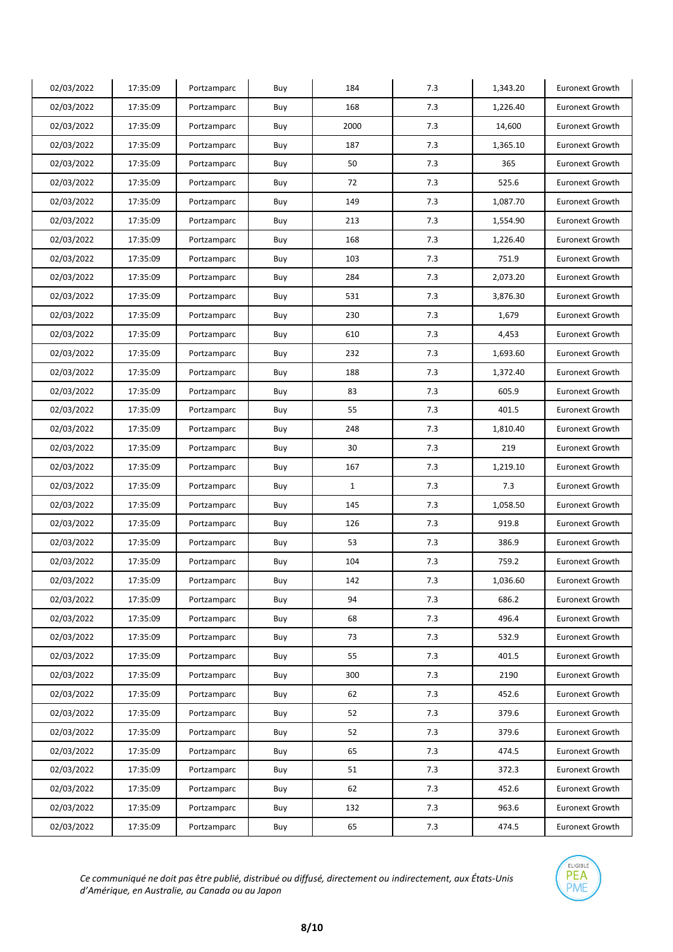| 02/03/2022 | 17:35:09 | Portzamparc | Buy | 184          | 7.3 | 1,343.20 | <b>Euronext Growth</b> |
|------------|----------|-------------|-----|--------------|-----|----------|------------------------|
| 02/03/2022 | 17:35:09 | Portzamparc | Buy | 168          | 7.3 | 1,226.40 | <b>Euronext Growth</b> |
| 02/03/2022 | 17:35:09 | Portzamparc | Buy | 2000         | 7.3 | 14,600   | <b>Euronext Growth</b> |
| 02/03/2022 | 17:35:09 | Portzamparc | Buy | 187          | 7.3 | 1,365.10 | <b>Euronext Growth</b> |
| 02/03/2022 | 17:35:09 | Portzamparc | Buy | 50           | 7.3 | 365      | <b>Euronext Growth</b> |
| 02/03/2022 | 17:35:09 | Portzamparc | Buy | 72           | 7.3 | 525.6    | <b>Euronext Growth</b> |
| 02/03/2022 | 17:35:09 | Portzamparc | Buy | 149          | 7.3 | 1,087.70 | <b>Euronext Growth</b> |
| 02/03/2022 | 17:35:09 | Portzamparc | Buy | 213          | 7.3 | 1,554.90 | <b>Euronext Growth</b> |
| 02/03/2022 | 17:35:09 | Portzamparc | Buy | 168          | 7.3 | 1,226.40 | <b>Euronext Growth</b> |
| 02/03/2022 | 17:35:09 | Portzamparc | Buy | 103          | 7.3 | 751.9    | <b>Euronext Growth</b> |
| 02/03/2022 | 17:35:09 | Portzamparc | Buy | 284          | 7.3 | 2,073.20 | <b>Euronext Growth</b> |
| 02/03/2022 | 17:35:09 | Portzamparc | Buy | 531          | 7.3 | 3,876.30 | <b>Euronext Growth</b> |
| 02/03/2022 | 17:35:09 | Portzamparc | Buy | 230          | 7.3 | 1,679    | <b>Euronext Growth</b> |
| 02/03/2022 | 17:35:09 | Portzamparc | Buy | 610          | 7.3 | 4,453    | <b>Euronext Growth</b> |
| 02/03/2022 | 17:35:09 | Portzamparc | Buy | 232          | 7.3 | 1,693.60 | <b>Euronext Growth</b> |
| 02/03/2022 | 17:35:09 | Portzamparc | Buy | 188          | 7.3 | 1,372.40 | <b>Euronext Growth</b> |
| 02/03/2022 | 17:35:09 | Portzamparc | Buy | 83           | 7.3 | 605.9    | <b>Euronext Growth</b> |
| 02/03/2022 | 17:35:09 | Portzamparc | Buy | 55           | 7.3 | 401.5    | <b>Euronext Growth</b> |
| 02/03/2022 | 17:35:09 | Portzamparc | Buy | 248          | 7.3 | 1,810.40 | <b>Euronext Growth</b> |
| 02/03/2022 | 17:35:09 | Portzamparc | Buy | 30           | 7.3 | 219      | <b>Euronext Growth</b> |
| 02/03/2022 | 17:35:09 | Portzamparc | Buy | 167          | 7.3 | 1,219.10 | <b>Euronext Growth</b> |
| 02/03/2022 | 17:35:09 | Portzamparc | Buy | $\mathbf{1}$ | 7.3 | 7.3      | <b>Euronext Growth</b> |
| 02/03/2022 | 17:35:09 | Portzamparc | Buy | 145          | 7.3 | 1,058.50 | <b>Euronext Growth</b> |
| 02/03/2022 | 17:35:09 | Portzamparc | Buy | 126          | 7.3 | 919.8    | <b>Euronext Growth</b> |
| 02/03/2022 | 17:35:09 | Portzamparc | Buy | 53           | 7.3 | 386.9    | <b>Euronext Growth</b> |
| 02/03/2022 | 17:35:09 | Portzamparc | Buy | 104          | 7.3 | 759.2    | <b>Euronext Growth</b> |
| 02/03/2022 | 17:35:09 | Portzamparc | Buy | 142          | 7.3 | 1,036.60 | <b>Euronext Growth</b> |
| 02/03/2022 | 17:35:09 | Portzamparc | Buy | 94           | 7.3 | 686.2    | <b>Euronext Growth</b> |
| 02/03/2022 | 17:35:09 | Portzamparc | Buy | 68           | 7.3 | 496.4    | <b>Euronext Growth</b> |
| 02/03/2022 | 17:35:09 | Portzamparc | Buy | 73           | 7.3 | 532.9    | <b>Euronext Growth</b> |
| 02/03/2022 | 17:35:09 | Portzamparc | Buy | 55           | 7.3 | 401.5    | <b>Euronext Growth</b> |
| 02/03/2022 | 17:35:09 | Portzamparc | Buy | 300          | 7.3 | 2190     | Euronext Growth        |
| 02/03/2022 | 17:35:09 | Portzamparc | Buy | 62           | 7.3 | 452.6    | <b>Euronext Growth</b> |
| 02/03/2022 | 17:35:09 | Portzamparc | Buy | 52           | 7.3 | 379.6    | <b>Euronext Growth</b> |
| 02/03/2022 | 17:35:09 | Portzamparc | Buy | 52           | 7.3 | 379.6    | <b>Euronext Growth</b> |
| 02/03/2022 | 17:35:09 | Portzamparc | Buy | 65           | 7.3 | 474.5    | <b>Euronext Growth</b> |
| 02/03/2022 | 17:35:09 | Portzamparc | Buy | 51           | 7.3 | 372.3    | <b>Euronext Growth</b> |
| 02/03/2022 | 17:35:09 | Portzamparc | Buy | 62           | 7.3 | 452.6    | <b>Euronext Growth</b> |
| 02/03/2022 | 17:35:09 | Portzamparc | Buy | 132          | 7.3 | 963.6    | Euronext Growth        |
| 02/03/2022 | 17:35:09 | Portzamparc | Buy | 65           | 7.3 | 474.5    | <b>Euronext Growth</b> |

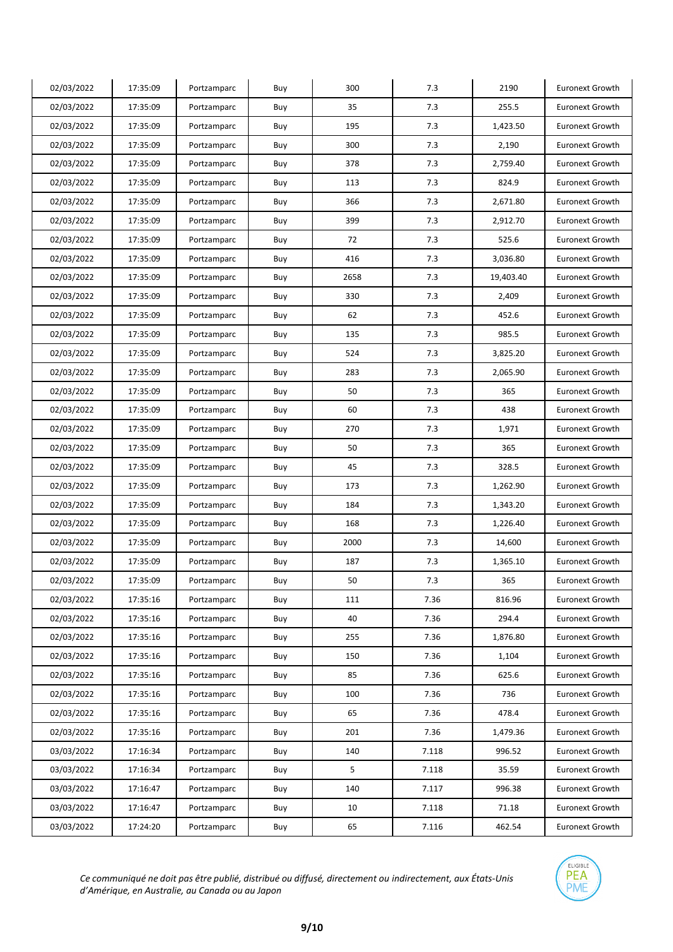| 02/03/2022 | 17:35:09 | Portzamparc | Buy | 300  | 7.3   | 2190      | <b>Euronext Growth</b> |
|------------|----------|-------------|-----|------|-------|-----------|------------------------|
| 02/03/2022 | 17:35:09 | Portzamparc | Buy | 35   | 7.3   | 255.5     | <b>Euronext Growth</b> |
| 02/03/2022 | 17:35:09 | Portzamparc | Buy | 195  | 7.3   | 1,423.50  | <b>Euronext Growth</b> |
| 02/03/2022 | 17:35:09 | Portzamparc | Buy | 300  | 7.3   | 2,190     | <b>Euronext Growth</b> |
| 02/03/2022 | 17:35:09 | Portzamparc | Buy | 378  | 7.3   | 2,759.40  | <b>Euronext Growth</b> |
| 02/03/2022 | 17:35:09 | Portzamparc | Buy | 113  | 7.3   | 824.9     | <b>Euronext Growth</b> |
| 02/03/2022 | 17:35:09 | Portzamparc | Buy | 366  | 7.3   | 2,671.80  | <b>Euronext Growth</b> |
| 02/03/2022 | 17:35:09 | Portzamparc | Buy | 399  | 7.3   | 2,912.70  | <b>Euronext Growth</b> |
| 02/03/2022 | 17:35:09 | Portzamparc | Buy | 72   | 7.3   | 525.6     | <b>Euronext Growth</b> |
| 02/03/2022 | 17:35:09 | Portzamparc | Buy | 416  | 7.3   | 3,036.80  | <b>Euronext Growth</b> |
| 02/03/2022 | 17:35:09 | Portzamparc | Buy | 2658 | 7.3   | 19,403.40 | <b>Euronext Growth</b> |
| 02/03/2022 | 17:35:09 | Portzamparc | Buy | 330  | 7.3   | 2,409     | <b>Euronext Growth</b> |
| 02/03/2022 | 17:35:09 | Portzamparc | Buy | 62   | 7.3   | 452.6     | <b>Euronext Growth</b> |
| 02/03/2022 | 17:35:09 | Portzamparc | Buy | 135  | 7.3   | 985.5     | <b>Euronext Growth</b> |
| 02/03/2022 | 17:35:09 | Portzamparc | Buy | 524  | 7.3   | 3,825.20  | <b>Euronext Growth</b> |
| 02/03/2022 | 17:35:09 | Portzamparc | Buy | 283  | 7.3   | 2,065.90  | Euronext Growth        |
| 02/03/2022 | 17:35:09 | Portzamparc | Buy | 50   | 7.3   | 365       | <b>Euronext Growth</b> |
| 02/03/2022 | 17:35:09 | Portzamparc | Buy | 60   | 7.3   | 438       | <b>Euronext Growth</b> |
| 02/03/2022 | 17:35:09 | Portzamparc | Buy | 270  | 7.3   | 1,971     | <b>Euronext Growth</b> |
| 02/03/2022 | 17:35:09 | Portzamparc | Buy | 50   | 7.3   | 365       | <b>Euronext Growth</b> |
| 02/03/2022 | 17:35:09 | Portzamparc | Buy | 45   | 7.3   | 328.5     | <b>Euronext Growth</b> |
| 02/03/2022 | 17:35:09 | Portzamparc | Buy | 173  | 7.3   | 1,262.90  | Euronext Growth        |
| 02/03/2022 | 17:35:09 | Portzamparc | Buy | 184  | 7.3   | 1,343.20  | <b>Euronext Growth</b> |
| 02/03/2022 | 17:35:09 | Portzamparc | Buy | 168  | 7.3   | 1,226.40  | <b>Euronext Growth</b> |
| 02/03/2022 | 17:35:09 | Portzamparc | Buy | 2000 | 7.3   | 14,600    | <b>Euronext Growth</b> |
| 02/03/2022 | 17:35:09 | Portzamparc | Buy | 187  | 7.3   | 1,365.10  | <b>Euronext Growth</b> |
| 02/03/2022 | 17:35:09 | Portzamparc | Buy | 50   | 7.3   | 365       | <b>Euronext Growth</b> |
| 02/03/2022 | 17:35:16 | Portzamparc | Buy | 111  | 7.36  | 816.96    | <b>Euronext Growth</b> |
| 02/03/2022 | 17:35:16 | Portzamparc | Buy | 40   | 7.36  | 294.4     | Euronext Growth        |
| 02/03/2022 | 17:35:16 | Portzamparc | Buy | 255  | 7.36  | 1,876.80  | Euronext Growth        |
| 02/03/2022 | 17:35:16 | Portzamparc | Buy | 150  | 7.36  | 1,104     | Euronext Growth        |
| 02/03/2022 | 17:35:16 | Portzamparc | Buy | 85   | 7.36  | 625.6     | Euronext Growth        |
| 02/03/2022 | 17:35:16 | Portzamparc | Buy | 100  | 7.36  | 736       | Euronext Growth        |
| 02/03/2022 | 17:35:16 | Portzamparc | Buy | 65   | 7.36  | 478.4     | Euronext Growth        |
| 02/03/2022 | 17:35:16 | Portzamparc | Buy | 201  | 7.36  | 1,479.36  | <b>Euronext Growth</b> |
| 03/03/2022 | 17:16:34 | Portzamparc | Buy | 140  | 7.118 | 996.52    | Euronext Growth        |
| 03/03/2022 | 17:16:34 | Portzamparc | Buy | 5    | 7.118 | 35.59     | Euronext Growth        |
| 03/03/2022 | 17:16:47 | Portzamparc | Buy | 140  | 7.117 | 996.38    | Euronext Growth        |
| 03/03/2022 | 17:16:47 | Portzamparc | Buy | 10   | 7.118 | 71.18     | Euronext Growth        |
| 03/03/2022 | 17:24:20 | Portzamparc | Buy | 65   | 7.116 | 462.54    | <b>Euronext Growth</b> |

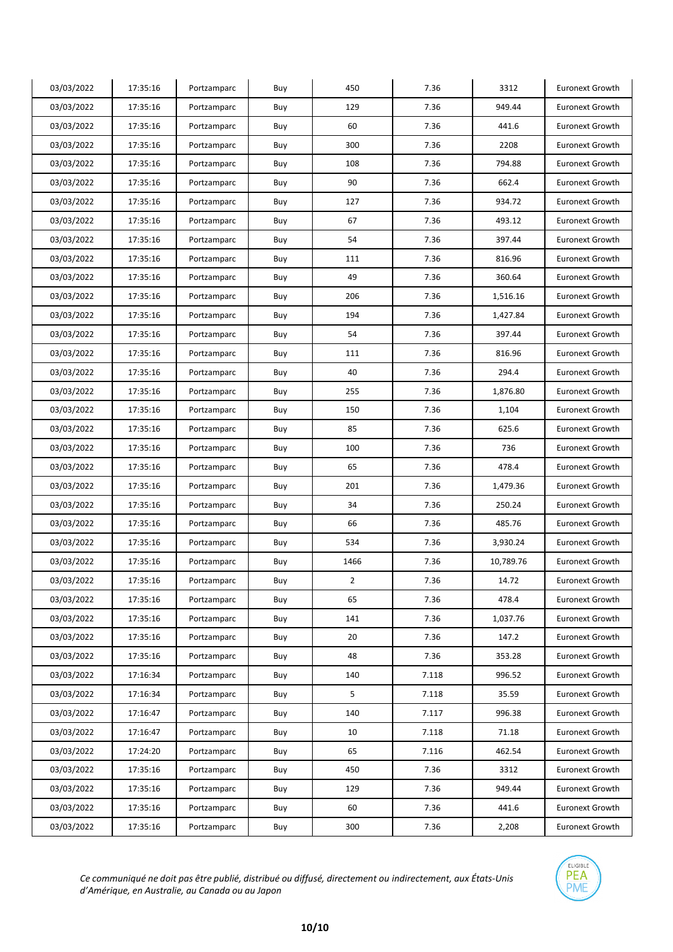| 03/03/2022 | 17:35:16 | Portzamparc | Buy | 450            | 7.36  | 3312      | <b>Euronext Growth</b> |
|------------|----------|-------------|-----|----------------|-------|-----------|------------------------|
| 03/03/2022 | 17:35:16 | Portzamparc | Buy | 129            | 7.36  | 949.44    | <b>Euronext Growth</b> |
| 03/03/2022 | 17:35:16 | Portzamparc | Buy | 60             | 7.36  | 441.6     | <b>Euronext Growth</b> |
| 03/03/2022 | 17:35:16 | Portzamparc | Buy | 300            | 7.36  | 2208      | <b>Euronext Growth</b> |
| 03/03/2022 | 17:35:16 | Portzamparc | Buy | 108            | 7.36  | 794.88    | <b>Euronext Growth</b> |
| 03/03/2022 | 17:35:16 | Portzamparc | Buy | 90             | 7.36  | 662.4     | <b>Euronext Growth</b> |
| 03/03/2022 | 17:35:16 | Portzamparc | Buy | 127            | 7.36  | 934.72    | <b>Euronext Growth</b> |
| 03/03/2022 | 17:35:16 | Portzamparc | Buy | 67             | 7.36  | 493.12    | <b>Euronext Growth</b> |
| 03/03/2022 | 17:35:16 | Portzamparc | Buy | 54             | 7.36  | 397.44    | Euronext Growth        |
| 03/03/2022 | 17:35:16 | Portzamparc | Buy | 111            | 7.36  | 816.96    | <b>Euronext Growth</b> |
| 03/03/2022 | 17:35:16 | Portzamparc | Buy | 49             | 7.36  | 360.64    | <b>Euronext Growth</b> |
| 03/03/2022 | 17:35:16 | Portzamparc | Buy | 206            | 7.36  | 1,516.16  | <b>Euronext Growth</b> |
| 03/03/2022 | 17:35:16 | Portzamparc | Buy | 194            | 7.36  | 1,427.84  | <b>Euronext Growth</b> |
| 03/03/2022 | 17:35:16 | Portzamparc | Buy | 54             | 7.36  | 397.44    | Euronext Growth        |
| 03/03/2022 | 17:35:16 | Portzamparc | Buy | 111            | 7.36  | 816.96    | <b>Euronext Growth</b> |
| 03/03/2022 | 17:35:16 | Portzamparc | Buy | 40             | 7.36  | 294.4     | <b>Euronext Growth</b> |
| 03/03/2022 | 17:35:16 | Portzamparc | Buy | 255            | 7.36  | 1,876.80  | <b>Euronext Growth</b> |
| 03/03/2022 | 17:35:16 | Portzamparc | Buy | 150            | 7.36  | 1,104     | <b>Euronext Growth</b> |
| 03/03/2022 | 17:35:16 | Portzamparc | Buy | 85             | 7.36  | 625.6     | <b>Euronext Growth</b> |
| 03/03/2022 | 17:35:16 | Portzamparc | Buy | 100            | 7.36  | 736       | <b>Euronext Growth</b> |
| 03/03/2022 | 17:35:16 | Portzamparc | Buy | 65             | 7.36  | 478.4     | <b>Euronext Growth</b> |
| 03/03/2022 | 17:35:16 | Portzamparc | Buy | 201            | 7.36  | 1,479.36  | Euronext Growth        |
| 03/03/2022 | 17:35:16 | Portzamparc | Buy | 34             | 7.36  | 250.24    | <b>Euronext Growth</b> |
| 03/03/2022 | 17:35:16 | Portzamparc | Buy | 66             | 7.36  | 485.76    | <b>Euronext Growth</b> |
| 03/03/2022 | 17:35:16 | Portzamparc | Buy | 534            | 7.36  | 3,930.24  | <b>Euronext Growth</b> |
| 03/03/2022 | 17:35:16 | Portzamparc | Buy | 1466           | 7.36  | 10,789.76 | Euronext Growth        |
| 03/03/2022 | 17:35:16 | Portzamparc | Buy | $\overline{2}$ | 7.36  | 14.72     | <b>Euronext Growth</b> |
| 03/03/2022 | 17:35:16 | Portzamparc | Buy | 65             | 7.36  | 478.4     | <b>Euronext Growth</b> |
| 03/03/2022 | 17:35:16 | Portzamparc | Buy | 141            | 7.36  | 1,037.76  | Euronext Growth        |
| 03/03/2022 | 17:35:16 | Portzamparc | Buy | 20             | 7.36  | 147.2     | <b>Euronext Growth</b> |
| 03/03/2022 | 17:35:16 | Portzamparc | Buy | 48             | 7.36  | 353.28    | Euronext Growth        |
| 03/03/2022 | 17:16:34 | Portzamparc | Buy | 140            | 7.118 | 996.52    | Euronext Growth        |
| 03/03/2022 | 17:16:34 | Portzamparc | Buy | 5              | 7.118 | 35.59     | Euronext Growth        |
| 03/03/2022 | 17:16:47 | Portzamparc | Buy | 140            | 7.117 | 996.38    | Euronext Growth        |
| 03/03/2022 | 17:16:47 | Portzamparc | Buy | 10             | 7.118 | 71.18     | <b>Euronext Growth</b> |
| 03/03/2022 | 17:24:20 | Portzamparc | Buy | 65             | 7.116 | 462.54    | Euronext Growth        |
| 03/03/2022 | 17:35:16 | Portzamparc | Buy | 450            | 7.36  | 3312      | Euronext Growth        |
| 03/03/2022 | 17:35:16 | Portzamparc | Buy | 129            | 7.36  | 949.44    | Euronext Growth        |
| 03/03/2022 | 17:35:16 | Portzamparc | Buy | 60             | 7.36  | 441.6     | Euronext Growth        |
| 03/03/2022 | 17:35:16 | Portzamparc | Buy | 300            | 7.36  | 2,208     | <b>Euronext Growth</b> |

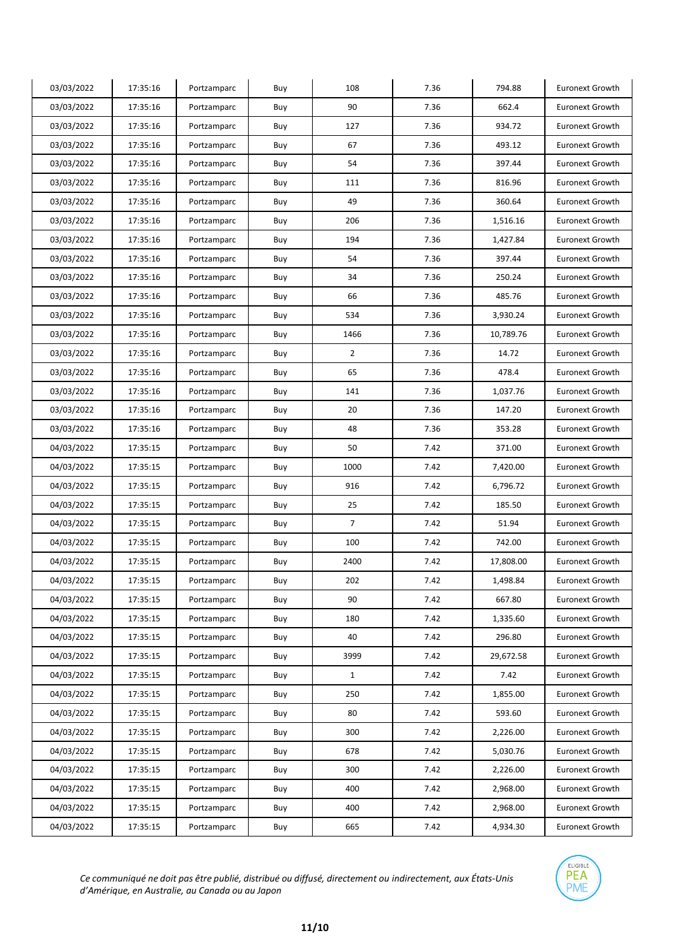| 03/03/2022 | 17:35:16 | Portzamparc | Buy | 108            | 7.36 | 794.88    | <b>Euronext Growth</b> |
|------------|----------|-------------|-----|----------------|------|-----------|------------------------|
| 03/03/2022 | 17:35:16 | Portzamparc | Buy | 90             | 7.36 | 662.4     | <b>Euronext Growth</b> |
| 03/03/2022 | 17:35:16 | Portzamparc | Buy | 127            | 7.36 | 934.72    | <b>Euronext Growth</b> |
| 03/03/2022 | 17:35:16 | Portzamparc | Buy | 67             | 7.36 | 493.12    | <b>Euronext Growth</b> |
| 03/03/2022 | 17:35:16 | Portzamparc | Buy | 54             | 7.36 | 397.44    | <b>Euronext Growth</b> |
| 03/03/2022 | 17:35:16 | Portzamparc | Buy | 111            | 7.36 | 816.96    | <b>Euronext Growth</b> |
| 03/03/2022 | 17:35:16 | Portzamparc | Buy | 49             | 7.36 | 360.64    | <b>Euronext Growth</b> |
| 03/03/2022 | 17:35:16 | Portzamparc | Buy | 206            | 7.36 | 1,516.16  | <b>Euronext Growth</b> |
| 03/03/2022 | 17:35:16 | Portzamparc | Buy | 194            | 7.36 | 1,427.84  | <b>Euronext Growth</b> |
| 03/03/2022 | 17:35:16 | Portzamparc | Buy | 54             | 7.36 | 397.44    | <b>Euronext Growth</b> |
| 03/03/2022 | 17:35:16 | Portzamparc | Buy | 34             | 7.36 | 250.24    | <b>Euronext Growth</b> |
| 03/03/2022 | 17:35:16 | Portzamparc | Buy | 66             | 7.36 | 485.76    | <b>Euronext Growth</b> |
| 03/03/2022 | 17:35:16 | Portzamparc | Buy | 534            | 7.36 | 3,930.24  | <b>Euronext Growth</b> |
| 03/03/2022 | 17:35:16 | Portzamparc | Buy | 1466           | 7.36 | 10,789.76 | <b>Euronext Growth</b> |
| 03/03/2022 | 17:35:16 | Portzamparc | Buy | $\overline{2}$ | 7.36 | 14.72     | <b>Euronext Growth</b> |
| 03/03/2022 | 17:35:16 | Portzamparc | Buy | 65             | 7.36 | 478.4     | <b>Euronext Growth</b> |
| 03/03/2022 | 17:35:16 | Portzamparc | Buy | 141            | 7.36 | 1,037.76  | <b>Euronext Growth</b> |
| 03/03/2022 | 17:35:16 | Portzamparc | Buy | 20             | 7.36 | 147.20    | <b>Euronext Growth</b> |
| 03/03/2022 | 17:35:16 | Portzamparc | Buy | 48             | 7.36 | 353.28    | <b>Euronext Growth</b> |
| 04/03/2022 | 17:35:15 | Portzamparc | Buy | 50             | 7.42 | 371.00    | <b>Euronext Growth</b> |
| 04/03/2022 | 17:35:15 | Portzamparc | Buy | 1000           | 7.42 | 7,420.00  | <b>Euronext Growth</b> |
| 04/03/2022 | 17:35:15 | Portzamparc | Buy | 916            | 7.42 | 6,796.72  | <b>Euronext Growth</b> |
| 04/03/2022 | 17:35:15 | Portzamparc | Buy | 25             | 7.42 | 185.50    | <b>Euronext Growth</b> |
| 04/03/2022 | 17:35:15 | Portzamparc | Buy | $\overline{7}$ | 7.42 | 51.94     | <b>Euronext Growth</b> |
| 04/03/2022 | 17:35:15 | Portzamparc | Buy | 100            | 7.42 | 742.00    | <b>Euronext Growth</b> |
| 04/03/2022 | 17:35:15 | Portzamparc | Buy | 2400           | 7.42 | 17,808.00 | <b>Euronext Growth</b> |
| 04/03/2022 | 17:35:15 | Portzamparc | Buy | 202            | 7.42 | 1,498.84  | <b>Euronext Growth</b> |
| 04/03/2022 | 17:35:15 | Portzamparc | Buy | 90             | 7.42 | 667.80    | <b>Euronext Growth</b> |
| 04/03/2022 | 17:35:15 | Portzamparc | Buy | 180            | 7.42 | 1,335.60  | Euronext Growth        |
| 04/03/2022 | 17:35:15 | Portzamparc | Buy | 40             | 7.42 | 296.80    | Euronext Growth        |
| 04/03/2022 | 17:35:15 | Portzamparc | Buy | 3999           | 7.42 | 29,672.58 | Euronext Growth        |
| 04/03/2022 | 17:35:15 | Portzamparc | Buy | $\mathbf{1}$   | 7.42 | 7.42      | <b>Euronext Growth</b> |
| 04/03/2022 | 17:35:15 | Portzamparc | Buy | 250            | 7.42 | 1,855.00  | <b>Euronext Growth</b> |
| 04/03/2022 | 17:35:15 | Portzamparc | Buy | 80             | 7.42 | 593.60    | <b>Euronext Growth</b> |
| 04/03/2022 | 17:35:15 | Portzamparc | Buy | 300            | 7.42 | 2,226.00  | <b>Euronext Growth</b> |
| 04/03/2022 | 17:35:15 | Portzamparc | Buy | 678            | 7.42 | 5,030.76  | Euronext Growth        |
| 04/03/2022 | 17:35:15 | Portzamparc | Buy | 300            | 7.42 | 2,226.00  | <b>Euronext Growth</b> |
| 04/03/2022 | 17:35:15 | Portzamparc | Buy | 400            | 7.42 | 2,968.00  | Euronext Growth        |
| 04/03/2022 | 17:35:15 | Portzamparc | Buy | 400            | 7.42 | 2,968.00  | Euronext Growth        |
| 04/03/2022 | 17:35:15 | Portzamparc | Buy | 665            | 7.42 | 4,934.30  | <b>Euronext Growth</b> |